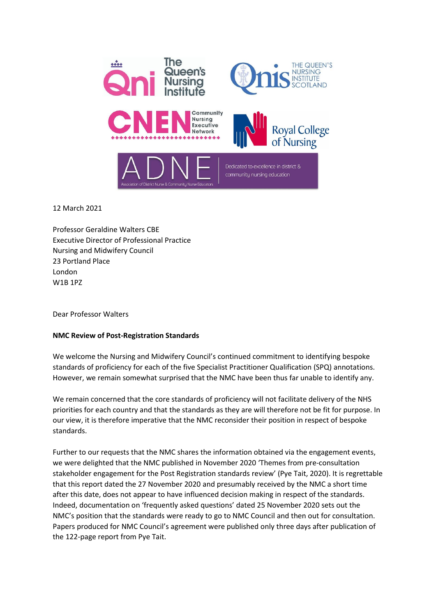

12 March 2021

Professor Geraldine Walters CBE Executive Director of Professional Practice Nursing and Midwifery Council 23 Portland Place London W1B 1PZ

Dear Professor Walters

## **NMC Review of Post-Registration Standards**

We welcome the Nursing and Midwifery Council's continued commitment to identifying bespoke standards of proficiency for each of the five Specialist Practitioner Qualification (SPQ) annotations. However, we remain somewhat surprised that the NMC have been thus far unable to identify any.

We remain concerned that the core standards of proficiency will not facilitate delivery of the NHS priorities for each country and that the standards as they are will therefore not be fit for purpose. In our view, it is therefore imperative that the NMC reconsider their position in respect of bespoke standards.

Further to our requests that the NMC shares the information obtained via the engagement events, we were delighted that the NMC published in November 2020 'Themes from pre-consultation stakeholder engagement for the Post Registration standards review' (Pye Tait, 2020). It is regrettable that this report dated the 27 November 2020 and presumably received by the NMC a short time after this date, does not appear to have influenced decision making in respect of the standards. Indeed, documentation on 'frequently asked questions' dated 25 November 2020 sets out the NMC's position that the standards were ready to go to NMC Council and then out for consultation. Papers produced for NMC Council's agreement were published only three days after publication of the 122-page report from Pye Tait.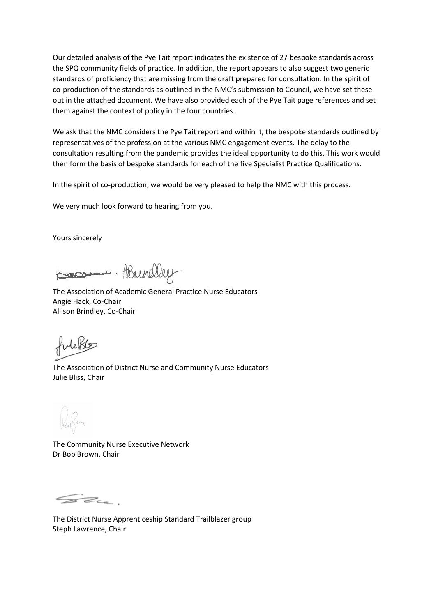Our detailed analysis of the Pye Tait report indicates the existence of 27 bespoke standards across the SPQ community fields of practice. In addition, the report appears to also suggest two generic standards of proficiency that are missing from the draft prepared for consultation. In the spirit of co-production of the standards as outlined in the NMC's submission to Council, we have set these out in the attached document. We have also provided each of the Pye Tait page references and set them against the context of policy in the four countries.

We ask that the NMC considers the Pye Tait report and within it, the bespoke standards outlined by representatives of the profession at the various NMC engagement events. The delay to the consultation resulting from the pandemic provides the ideal opportunity to do this. This work would then form the basis of bespoke standards for each of the five Specialist Practice Qualifications.

In the spirit of co-production, we would be very pleased to help the NMC with this process.

We very much look forward to hearing from you.

Yours sincerely

Brindley

The Association of Academic General Practice Nurse Educators Angie Hack, Co-Chair Allison Brindley, Co-Chair

The Association of District Nurse and Community Nurse Educators Julie Bliss, Chair

The Community Nurse Executive Network Dr Bob Brown, Chair

SZL.

The District Nurse Apprenticeship Standard Trailblazer group Steph Lawrence, Chair